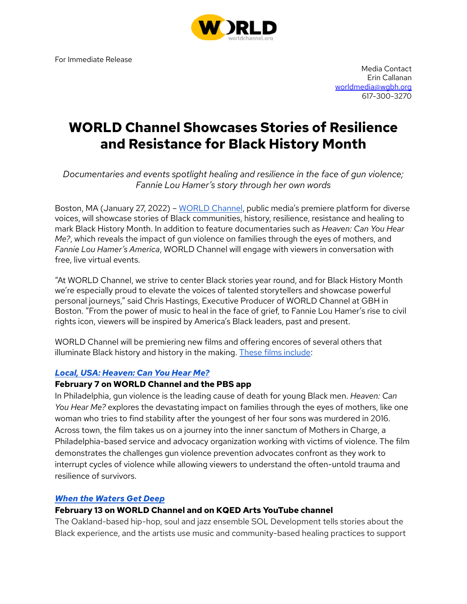For Immediate Release



Media Contact Erin Callanan worldmedia@wgbh.org 617-300-3270

# **WORLD Channel Showcases Stories of Resilience** and Resistance for Black History Month

Documentaries and events spotlight healing and resilience in the face of gun violence; Fannie Lou Hamer's story through her own words

Boston, MA (January 27, 2022) - WORLD Channel, public media's premiere platform for diverse voices, will showcase stories of Black communities, history, resilience, resistance and healing to mark Black History Month. In addition to feature documentaries such as Heaven: Can You Hear Me?, which reveals the impact of gun violence on families through the eyes of mothers, and Fannie Lou Hamer's America, WORLD Channel will engage with viewers in conversation with free, live virtual events.

"At WORLD Channel, we strive to center Black stories year round, and for Black History Month we're especially proud to elevate the voices of talented storytellers and showcase powerful personal journeys," said Chris Hastings, Executive Producer of WORLD Channel at GBH in Boston. "From the power of music to heal in the face of grief, to Fannie Lou Hamer's rise to civil rights icon, viewers will be inspired by America's Black leaders, past and present.

WORLD Channel will be premiering new films and offering encores of several others that illuminate Black history and history in the making. These films include:

#### Local, USA: Heaven: Can You Hear Me?

#### **February 7 on WORLD Channel and the PBS app**

In Philadelphia, gun violence is the leading cause of death for young Black men. Heaven: Can You Hear Me? explores the devastating impact on families through the eyes of mothers, like one woman who tries to find stability after the youngest of her four sons was murdered in 2016. Across town, the film takes us on a journey into the inner sanctum of Mothers in Charge, a Philadelphia-based service and advocacy organization working with victims of violence. The film demonstrates the challenges gun violence prevention advocates confront as they work to interrupt cycles of violence while allowing viewers to understand the often-untold trauma and resilience of survivors.

#### **When the Waters Get Deep**

#### February 13 on WORLD Channel and on KQED Arts YouTube channel

The Oakland-based hip-hop, soul and jazz ensemble SOL Development tells stories about the Black experience, and the artists use music and community-based healing practices to support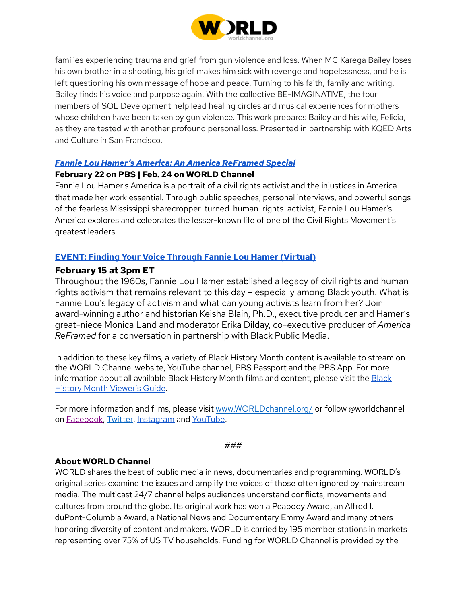

families experiencing trauma and grief from gun violence and loss. When MC Karega Bailey loses his own brother in a shooting, his grief makes him sick with revenge and hopelessness, and he is left questioning his own message of hope and peace. Turning to his faith, family and writing, Bailey finds his voice and purpose again. With the collective BE-IMAGINATIVE, the four members of SOL Development help lead healing circles and musical experiences for mothers whose children have been taken by gun violence. This work prepares Bailey and his wife, Felicia, as they are tested with another profound personal loss. Presented in partnership with KQED Arts and Culture in San Francisco.

### **Fannie Lou Hamer's America: An America ReFramed Special**

### February 22 on PBS | Feb. 24 on WORLD Channel

Fannie Lou Hamer's America is a portrait of a civil rights activist and the injustices in America that made her work essential. Through public speeches, personal interviews, and powerful songs of the fearless Mississippi sharecropper-turned-human-rights-activist, Fannie Lou Hamer's America explores and celebrates the lesser-known life of one of the Civil Rights Movement's greatest leaders.

# **EVENT: Finding Your Voice Through Fannie Lou Hamer (Virtual)**

# **February 15 at 3pm ET**

Throughout the 1960s, Fannie Lou Hamer established a legacy of civil rights and human rights activism that remains relevant to this day - especially among Black youth. What is Fannie Lou's legacy of activism and what can young activists learn from her? Join award-winning author and historian Keisha Blain, Ph.D., executive producer and Hamer's great-niece Monica Land and moderator Erika Dilday, co-executive producer of America ReFramed for a conversation in partnership with Black Public Media.

In addition to these key films, a variety of Black History Month content is available to stream on the WORLD Channel website, YouTube channel, PBS Passport and the PBS App. For more information about all available Black History Month films and content, please visit the Black History Month Viewer's Guide.

For more information and films, please visit www.WORLDchannel.org/ or follow @worldchannel on Facebook, Twitter, Instagram and YouTube.

#### ###

# **About WORLD Channel**

WORLD shares the best of public media in news, documentaries and programming. WORLD's original series examine the issues and amplify the voices of those often ignored by mainstream media. The multicast 24/7 channel helps audiences understand conflicts, movements and cultures from around the globe. Its original work has won a Peabody Award, an Alfred I. duPont-Columbia Award, a National News and Documentary Emmy Award and many others honoring diversity of content and makers. WORLD is carried by 195 member stations in markets representing over 75% of US TV households. Funding for WORLD Channel is provided by the